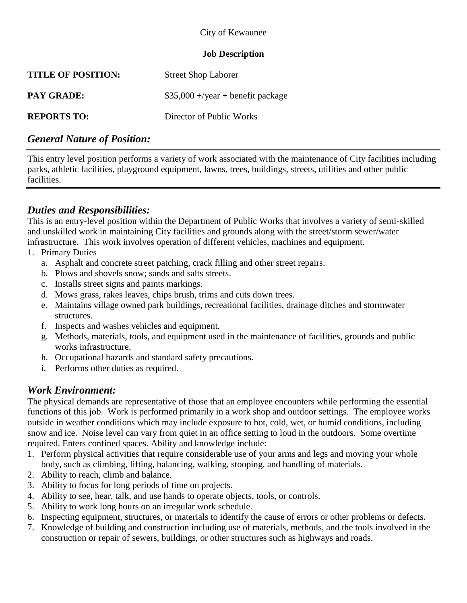### City of Kewaunee

### **Job Description**

| <b>TITLE OF POSITION:</b> | <b>Street Shop Laborer</b>          |
|---------------------------|-------------------------------------|
| <b>PAY GRADE:</b>         | $$35,000 +$ /year + benefit package |
| <b>REPORTS TO:</b>        | Director of Public Works            |

## *General Nature of Position:*

This entry level position performs a variety of work associated with the maintenance of City facilities including parks, athletic facilities, playground equipment, lawns, trees, buildings, streets, utilities and other public facilities.

# *Duties and Responsibilities:*

This is an entry-level position within the Department of Public Works that involves a variety of semi-skilled and unskilled work in maintaining City facilities and grounds along with the street/storm sewer/water infrastructure. This work involves operation of different vehicles, machines and equipment.

- 1. Primary Duties
	- a. Asphalt and concrete street patching, crack filling and other street repairs.
	- b. Plows and shovels snow; sands and salts streets.
	- c. Installs street signs and paints markings.
	- d. Mows grass, rakes leaves, chips brush, trims and cuts down trees.
	- e. Maintains village owned park buildings, recreational facilities, drainage ditches and stormwater structures.
	- f. Inspects and washes vehicles and equipment.
	- g. Methods, materials, tools, and equipment used in the maintenance of facilities, grounds and public works infrastructure.
	- h. Occupational hazards and standard safety precautions.
	- i. Performs other duties as required.

## *Work Environment:*

The physical demands are representative of those that an employee encounters while performing the essential functions of this job. Work is performed primarily in a work shop and outdoor settings. The employee works outside in weather conditions which may include exposure to hot, cold, wet, or humid conditions, including snow and ice. Noise level can vary from quiet in an office setting to loud in the outdoors. Some overtime required. Enters confined spaces. Ability and knowledge include:

- 1. Perform physical activities that require considerable use of your arms and legs and moving your whole body, such as climbing, lifting, balancing, walking, stooping, and handling of materials.
- 2. Ability to reach, climb and balance.
- 3. Ability to focus for long periods of time on projects.
- 4. Ability to see, hear, talk, and use hands to operate objects, tools, or controls.
- 5. Ability to work long hours on an irregular work schedule.
- 6. Inspecting equipment, structures, or materials to identify the cause of errors or other problems or defects.
- 7. Knowledge of building and construction including use of materials, methods, and the tools involved in the construction or repair of sewers, buildings, or other structures such as highways and roads.